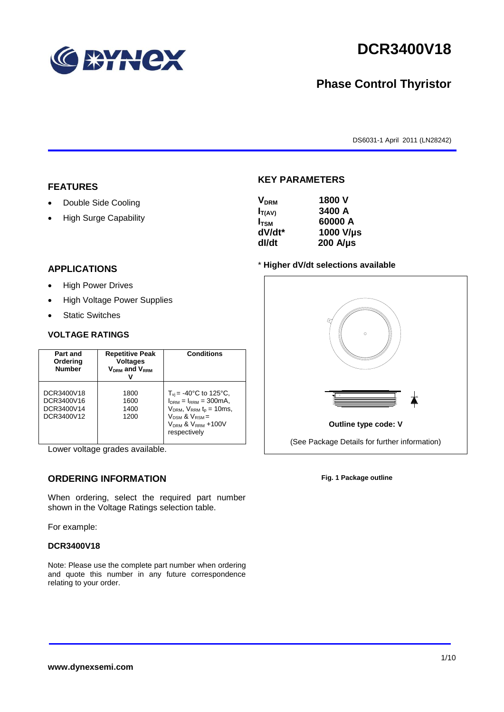

# **DCR3400V18**

## **Phase Control Thyristor**

DS6031-1 April 2011 (LN28242)

#### **FEATURES**

- Double Side Cooling
- High Surge Capability

## **VDRM 1800 V**

**KEY PARAMETERS**

| - <b>URW</b>     |                  |
|------------------|------------------|
| $I_{T(AV)}$      | 3400 A           |
| I <sub>tsm</sub> | 60000 A          |
| dV/dt*           | 1000 V/µs        |
| dl/dt            | $200$ A/ $\mu$ s |
|                  |                  |

#### **APPLICATIONS**

- High Power Drives
- High Voltage Power Supplies
- Static Switches

#### **VOLTAGE RATINGS**

| Part and<br>Ordering<br><b>Number</b>                | <b>Repetitive Peak</b><br><b>Voltages</b><br>$V_{DRM}$ and $V_{RRM}$ | <b>Conditions</b>                                                                                                                                                                                        |
|------------------------------------------------------|----------------------------------------------------------------------|----------------------------------------------------------------------------------------------------------------------------------------------------------------------------------------------------------|
| DCR3400V18<br>DCR3400V16<br>DCR3400V14<br>DCR3400V12 | 1800<br>1600<br>1400<br>1200                                         | $T_{\rm vi}$ = -40°C to 125°C,<br>$I_{DRM} = I_{RRM} = 300 \text{mA}$ ,<br>$V_{DRM}$ , $V_{RRM}$ $t_{p}$ = 10ms,<br>$V_{DSM}$ & $V_{RSM}$ =<br>V <sub>DRM</sub> & V <sub>RRM</sub> +100V<br>respectively |

Lower voltage grades available.

### **ORDERING INFORMATION**

When ordering, select the required part number shown in the Voltage Ratings selection table.

For example:

#### **DCR3400V18**

Note: Please use the complete part number when ordering and quote this number in any future correspondence relating to your order.



**Fig. 1 Package outline**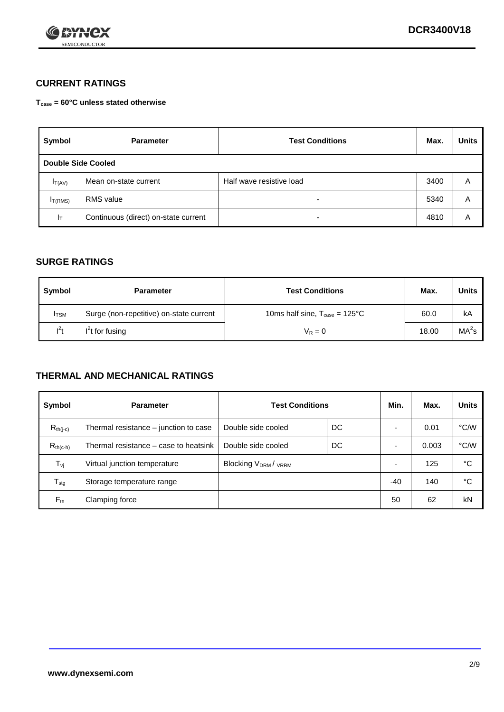

### **CURRENT RATINGS**

**Tcase = 60°C unless stated otherwise**

| Symbol       | <b>Parameter</b>                     | <b>Test Conditions</b>   | Max. | <b>Units</b> |  |  |
|--------------|--------------------------------------|--------------------------|------|--------------|--|--|
|              | Double Side Cooled                   |                          |      |              |  |  |
| $I_{T(AV)}$  | Mean on-state current                | Half wave resistive load | 3400 | A            |  |  |
| $I_{T(RMS)}$ | RMS value                            | $\overline{\phantom{a}}$ | 5340 | Α            |  |  |
| Iт           | Continuous (direct) on-state current | $\overline{\phantom{a}}$ | 4810 | Α            |  |  |

#### **SURGE RATINGS**

| Symbol       | <b>Parameter</b>                        | <b>Test Conditions</b>                           | Max.  | Units             |
|--------------|-----------------------------------------|--------------------------------------------------|-------|-------------------|
| <b>I</b> TSM | Surge (non-repetitive) on-state current | 10ms half sine, $T_{\text{case}} = 125^{\circ}C$ | 60.0  | kA                |
| $l^2t$       | $I2t$ for fusing                        | $V_R = 0$                                        | 18.00 | MA <sup>2</sup> s |

#### **THERMAL AND MECHANICAL RATINGS**

| Symbol           | <b>Parameter</b>                      | <b>Test Conditions</b>    |    | Min.           | Max.  | <b>Units</b> |
|------------------|---------------------------------------|---------------------------|----|----------------|-------|--------------|
| $R_{th(j-c)}$    | Thermal resistance – junction to case | Double side cooled        | DC |                | 0.01  | °C/W         |
| $R_{th(c-h)}$    | Thermal resistance – case to heatsink | Double side cooled        | DC |                | 0.003 | °C/W         |
| $T_{\nu j}$      | Virtual junction temperature          | <b>Blocking VDRM/VRRM</b> |    | $\overline{a}$ | 125   | °C           |
| $T_{\text{stg}}$ | Storage temperature range             |                           |    | $-40$          | 140   | °C           |
| $F_m$            | Clamping force                        |                           |    | 50             | 62    | kN           |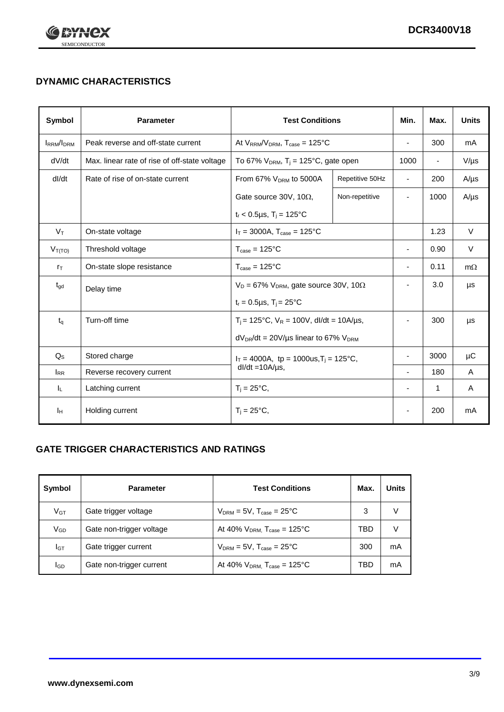

## **DYNAMIC CHARACTERISTICS**

| <b>Symbol</b>     | <b>Parameter</b>                              | <b>Test Conditions</b>                                                |                                                  | Min.           | Max.           | <b>Units</b> |
|-------------------|-----------------------------------------------|-----------------------------------------------------------------------|--------------------------------------------------|----------------|----------------|--------------|
| <b>IRRM</b> /IDRM | Peak reverse and off-state current            |                                                                       | At $V_{RRM}/V_{DRM}$ , $T_{case} = 125^{\circ}C$ |                | 300            | mA           |
| dV/dt             | Max. linear rate of rise of off-state voltage | To 67% $V_{DRM}$ , T <sub>i</sub> = 125°C, gate open                  |                                                  | 1000           | $\blacksquare$ | $V/\mu s$    |
| dl/dt             | Rate of rise of on-state current              | From 67% $V_{DRM}$ to 5000A                                           | Repetitive 50Hz                                  | $\blacksquare$ | 200            | $A/\mu s$    |
|                   |                                               | Gate source 30V, 10 $\Omega$ ,                                        | Non-repetitive                                   | ٠              | 1000           | $A/\mu s$    |
|                   |                                               | $t_r$ < 0.5µs, T <sub>i</sub> = 125°C                                 |                                                  |                |                |              |
| $V_T$             | On-state voltage                              | $I_T = 3000A$ , $T_{case} = 125^{\circ}C$                             |                                                  |                | 1.23           | $\vee$       |
| $V_{T(TO)}$       | Threshold voltage                             | $T_{\text{case}} = 125^{\circ}C$                                      |                                                  | $\blacksquare$ | 0.90           | $\vee$       |
| $r_{\text{T}}$    | On-state slope resistance                     | $T_{\text{case}} = 125^{\circ}C$                                      |                                                  | $\blacksquare$ | 0.11           | $m\Omega$    |
| $t_{\rm gd}$      | Delay time                                    | $V_D = 67\%$ V <sub>DRM</sub> , gate source 30V, 10 $\Omega$          |                                                  | ٠              | 3.0            | μs           |
|                   |                                               | $t_r = 0.5 \mu s$ , $T_i = 25^{\circ}C$                               |                                                  |                |                |              |
| $t_{q}$           | Turn-off time                                 | $T_i$ = 125°C, $V_R$ = 100V, dl/dt = 10A/µs,                          |                                                  |                | 300            | μs           |
|                   |                                               | $dV_{DR}/dt = 20 V/\mu s$ linear to 67% $V_{DRM}$                     |                                                  |                |                |              |
| $Q_{\rm S}$       | Stored charge                                 | $I_T = 4000A$ , tp = 1000us, $T_i = 125$ °C,<br>$dl/dt = 10A/\mu s$ , |                                                  |                | 3000           | $\mu$ C      |
| $I_{RR}$          | Reverse recovery current                      |                                                                       |                                                  | $\blacksquare$ | 180            | A            |
| JL.               | Latching current                              | $T_i = 25^{\circ}C$ ,                                                 |                                                  |                | $\mathbf{1}$   | Α            |
| Iн                | Holding current                               | $T_i = 25^{\circ}C,$                                                  |                                                  |                | 200            | mA           |

### **GATE TRIGGER CHARACTERISTICS AND RATINGS**

| Symbol          | <b>Parameter</b>         | <b>Test Conditions</b>                    | Max. | <b>Units</b> |
|-----------------|--------------------------|-------------------------------------------|------|--------------|
| V <sub>GT</sub> | Gate trigger voltage     | $V_{DRM}$ = 5V, $T_{case}$ = 25°C         | 3    |              |
| $V_{GD}$        | Gate non-trigger voltage | At 40% $V_{DRM}$ , $T_{case}$ = 125°C     | TBD  |              |
| Iст             | Gate trigger current     | $V_{DRM} = 5V$ , $T_{case} = 25^{\circ}C$ | 300  | mA           |
| <b>I</b> GD     | Gate non-trigger current | At 40% $V_{DRM}$ , $T_{case}$ = 125°C     | TBD  | mA           |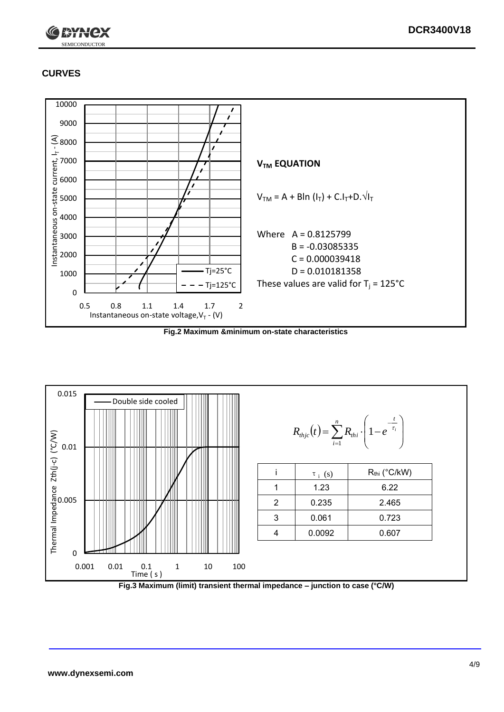

### **CURVES**



**Fig.2 Maximum &minimum on-state characteristics**



**Fig.3 Maximum (limit) transient thermal impedance – junction to case (°C/W)**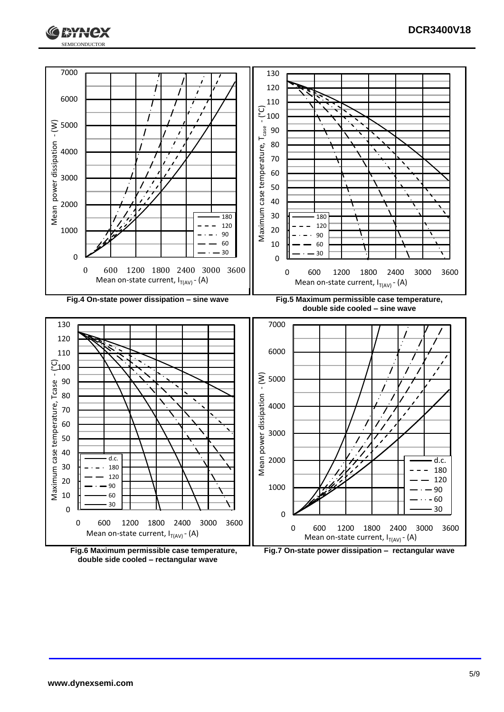



**double side cooled – rectangular wave**

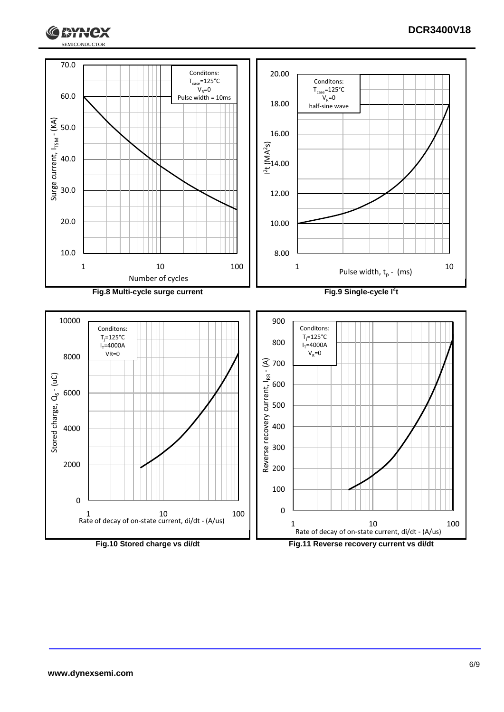

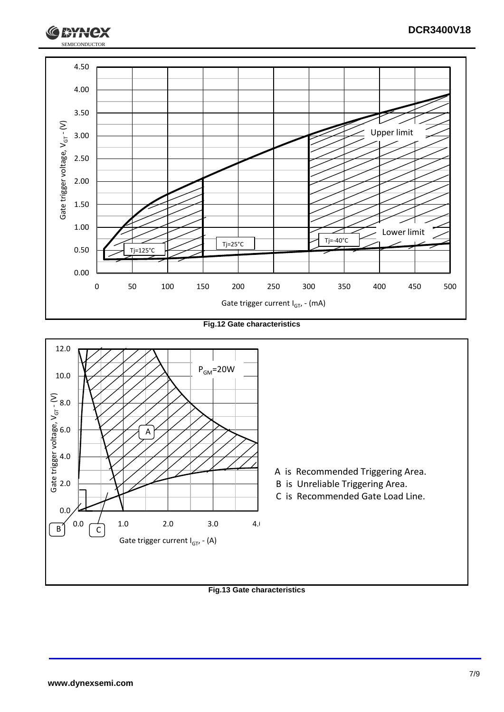

**Fig.12 Gate characteristics**



**Fig.13 Gate characteristics**

**RYH**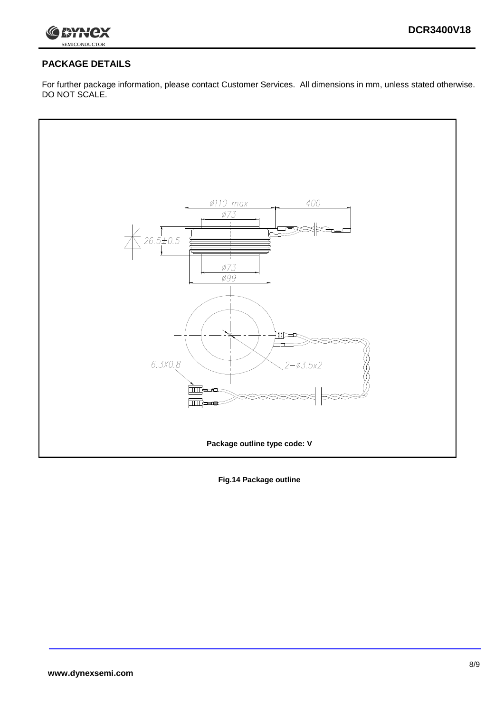

### **PACKAGE DETAILS**

For further package information, please contact Customer Services. All dimensions in mm, unless stated otherwise. DO NOT SCALE.



**Fig.14 Package outline**